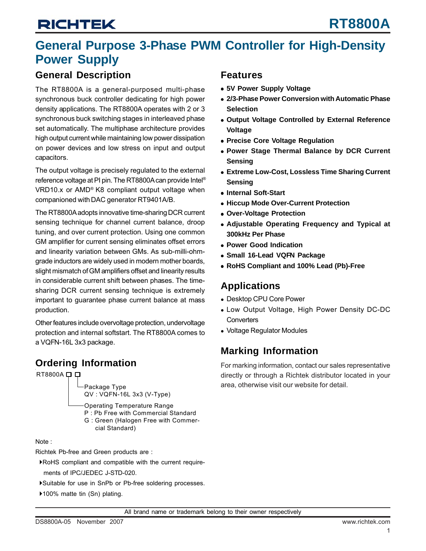## **General Purpose 3-Phase PWM Controller for High-Density Power Supply**

### **General Description**

The RT8800A is a general-purposed multi-phase synchronous buck controller dedicating for high power density applications. The RT8800A operates with 2 or 3 synchronous buck switching stages in interleaved phase set automatically. The multiphase architecture provides high output current while maintaining low power dissipation on power devices and low stress on input and output capacitors.

The output voltage is precisely regulated to the external reference voltage at PI pin. The RT8800A can provide Intel® VRD10.x or AMD® K8 compliant output voltage when companioned with DAC generator RT9401A/B.

The RT8800A adopts innovative time-sharing DCR current sensing technique for channel current balance, droop tuning, and over current protection. Using one common GM amplifier for current sensing eliminates offset errors and linearity variation between GMs. As sub-milli-ohmgrade inductors are widely used in modern mother boards, slight mismatch of GM amplifiers offset and linearity results in considerable current shift between phases. The timesharing DCR current sensing technique is extremely important to guarantee phase current balance at mass production.

Other features include overvoltage protection, undervoltage protection and internal softstart. The RT8800A comes to a VQFN-16L 3x3 package.

### **Ordering Information**

RT8800A D D



Operating Temperature Range P : Pb Free with Commercial Standard G : Green (Halogen Free with Commer-

cial Standard)

Note :

Richtek Pb-free and Green products are :

- `RoHS compliant and compatible with the current require ments of IPC/JEDEC J-STD-020.
- `Suitable for use in SnPb or Pb-free soldering processes.
- ▶100% matte tin (Sn) plating.

### **Features**

- **5V Power Supply Voltage**
- **2/3-Phase Power Conversion with Automatic Phase Selection**
- **Output Voltage Controlled by External Reference Voltage**
- **Precise Core Voltage Regulation**
- **Power Stage Thermal Balance by DCR Current Sensing**
- $\bullet$  **Extreme Low-Cost, Lossless Time Sharing Current Sensing**
- **Internal Soft-Start**
- **Hiccup Mode Over-Current Protection**
- **Over-Voltage Protection**
- Adjustable Operating Frequency and Typical at **300kHz Per Phase**
- **Power Good Indication**
- <sup>z</sup> **Small 16-Lead VQFN Package**
- <sup>z</sup> **RoHS Compliant and 100% Lead (Pb)-Free**

### **Applications**

- Desktop CPU Core Power
- Low Output Voltage, High Power Density DC-DC **Converters**
- Voltage Regulator Modules

## **Marking Information**

For marking information, contact our sales representative directly or through a Richtek distributor located in your area, otherwise visit our website for detail.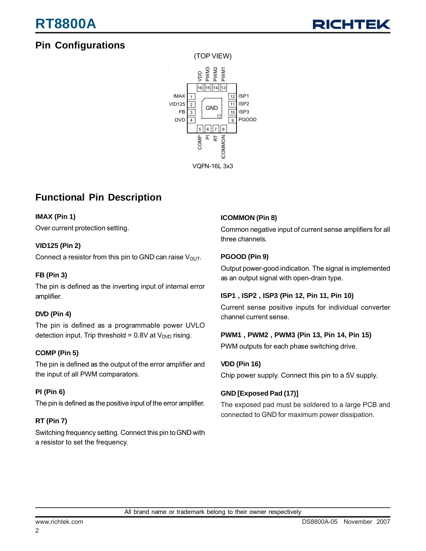## **Pin Configurations**





## **Functional Pin Description**

### **IMAX (Pin 1)**

Over current protection setting.

### **VID125 (Pin 2)**

Connect a resistor from this pin to GND can raise  $V_{\text{OUT}}$ .

### **FB (Pin 3)**

The pin is defined as the inverting input of internal error amplifier.

### **DVD (Pin 4)**

The pin is defined as a programmable power UVLO detection input. Trip threshold =  $0.8V$  at  $V<sub>DVD</sub>$  rising.

### **COMP (Pin 5)**

The pin is defined as the output of the error amplifier and the input of all PWM comparators.

### **PI (Pin 6)**

The pin is defined as the positive input of the error amplifier.

### **RT (Pin 7)**

Switching frequency setting. Connect this pin to GND with a resistor to set the frequency.

### **ICOMMON (Pin 8)**

Common negative input of current sense amplifiers for all three channels.

### **PGOOD (Pin 9)**

Output power-good indication. The signal is implemented as an output signal with open-drain type.

### **ISP1 , ISP2 , ISP3 (Pin 12, Pin 11, Pin 10)**

Current sense positive inputs for individual converter channel current sense.

### **PWM1 , PWM2 , PWM3 (Pin 13, Pin 14, Pin 15)**

PWM outputs for each phase switching drive.

### **VDD (Pin 16)**

Chip power supply. Connect this pin to a 5V supply.

### **GND [Exposed Pad (17)]**

The exposed pad must be soldered to a large PCB and connected to GND for maximum power dissipation.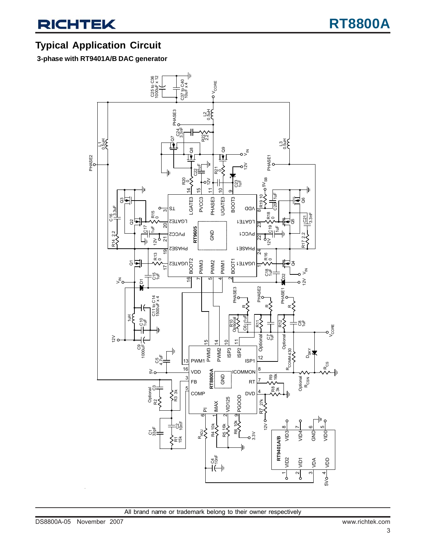### **Typical Application Circuit**

 **3-phase with RT9401A/B DAC generator**

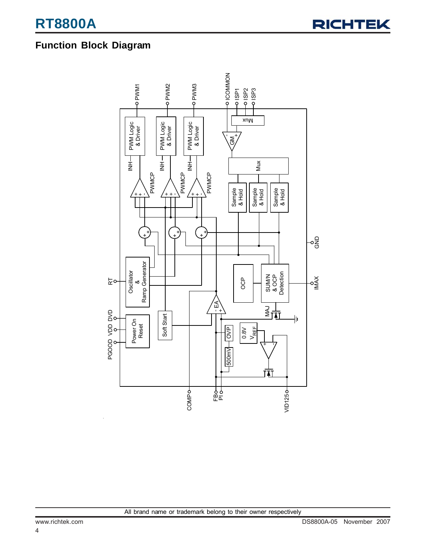### **Function Block Diagram**

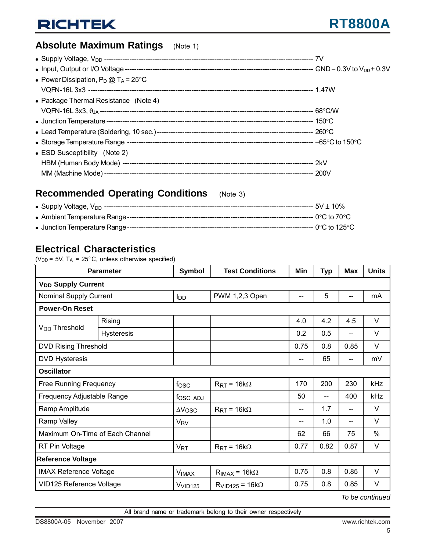## **Absolute Maximum Ratings** (Note 1)

| • Power Dissipation, $P_D @ T_A = 25^{\circ}C$ |  |
|------------------------------------------------|--|
|                                                |  |
| • Package Thermal Resistance (Note 4)          |  |
|                                                |  |
|                                                |  |
|                                                |  |
|                                                |  |
| • ESD Susceptibility (Note 2)                  |  |
|                                                |  |
|                                                |  |
|                                                |  |

### **Recommended Operating Conditions** (Note 3)

### **Electrical Characteristics**

( $V_{DD}$  = 5V, T<sub>A</sub> = 25°C, unless otherwise specified)

|                                      | <b>Parameter</b>  | Symbol                 | <b>Test Conditions</b>      | Min  | Typ  | <b>Max</b>               | <b>Units</b> |  |
|--------------------------------------|-------------------|------------------------|-----------------------------|------|------|--------------------------|--------------|--|
| <b>V<sub>DD</sub> Supply Current</b> |                   |                        |                             |      |      |                          |              |  |
| <b>Nominal Supply Current</b>        |                   | <b>I</b> <sub>DD</sub> | PWM 1,2,3 Open              | $-$  | 5    | $\overline{\phantom{a}}$ | mA           |  |
| <b>Power-On Reset</b>                |                   |                        |                             |      |      |                          |              |  |
|                                      | Rising            |                        |                             | 4.0  | 4.2  | 4.5                      | V            |  |
| V <sub>DD</sub> Threshold            | <b>Hysteresis</b> |                        |                             | 0.2  | 0.5  | $-$                      | V            |  |
| <b>DVD Rising Threshold</b>          |                   |                        |                             | 0.75 | 0.8  | 0.85                     | V            |  |
| <b>DVD Hysteresis</b>                |                   |                        |                             | --   | 65   | --                       | mV           |  |
| <b>Oscillator</b>                    |                   |                        |                             |      |      |                          |              |  |
| Free Running Frequency               |                   | fosc                   | $R_{\text{RT}} = 16k\Omega$ | 170  | 200  | 230                      | kHz          |  |
| Frequency Adjustable Range           |                   | fosc_ADJ               |                             | 50   | --   | 400                      | kHz          |  |
| Ramp Amplitude                       |                   | $\Delta V$ OSC         | $R_{\rm RT}$ = 16k $\Omega$ | $-$  | 1.7  | --                       | V            |  |
| Ramp Valley                          |                   | <b>V<sub>RV</sub></b>  |                             | --   | 1.0  | --                       | V            |  |
| Maximum On-Time of Each Channel      |                   |                        |                             | 62   | 66   | 75                       | $\%$         |  |
| RT Pin Voltage                       |                   | <b>V<sub>RT</sub></b>  | $R_{\text{RT}} = 16k\Omega$ | 0.77 | 0.82 | 0.87                     | V            |  |
| <b>Reference Voltage</b>             |                   |                        |                             |      |      |                          |              |  |
| <b>IMAX Reference Voltage</b>        |                   | <b>VIMAX</b>           | $R_{IMAX} = 16k\Omega$      | 0.75 | 0.8  | 0.85                     | V            |  |
| VID125 Reference Voltage             |                   | V <sub>VID125</sub>    | $R_{VID125} = 16k\Omega$    | 0.75 | 0.8  | 0.85                     | V            |  |

*To be continued*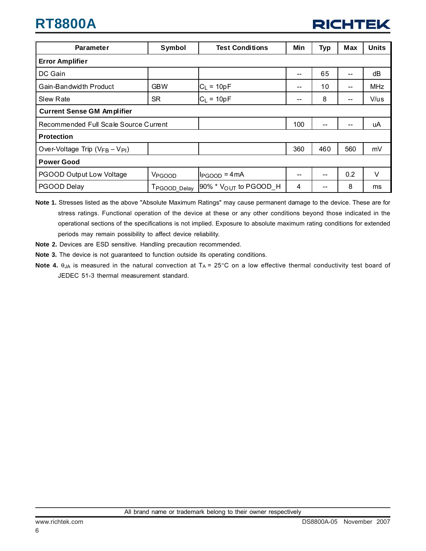| <b>Parameter</b>                      | Symbol                   | <b>Test Conditions</b>            | Min | Typ | Max | <b>Units</b> |  |
|---------------------------------------|--------------------------|-----------------------------------|-----|-----|-----|--------------|--|
| <b>Error Amplifier</b>                |                          |                                   |     |     |     |              |  |
| DC Gain                               |                          |                                   | --  | 65  |     | dB           |  |
| Gain-Bandwidth Product                | <b>GBW</b>               | $C_L = 10pF$                      | --  | 10  | --  | <b>MHz</b>   |  |
| <b>Slew Rate</b>                      | <b>SR</b>                | $C_L = 10pF$                      | --  | 8   |     | V/us         |  |
| <b>Current Sense GM Amplifier</b>     |                          |                                   |     |     |     |              |  |
| Recommended Full Scale Source Current |                          | 100                               | --  | --  | uA  |              |  |
| <b>Protection</b>                     |                          |                                   |     |     |     |              |  |
| Over-Voltage Trip $(V_{FB} - V_{PI})$ |                          |                                   | 360 | 460 | 560 | mV           |  |
| <b>Power Good</b>                     |                          |                                   |     |     |     |              |  |
| PGOOD Output Low Voltage              | V <sub>PGOOD</sub>       | $IP_{\text{GOOD}} = 4 \text{mA}$  | --  | --  | 0.2 | V            |  |
| PGOOD Delay                           | T <sub>PGOOD</sub> Delay | 90% * $V_{\text{OUT}}$ to PGOOD_H | 4   | --  | 8   | ms           |  |

- **Note 1.** Stresses listed as the above "Absolute Maximum Ratings" may cause permanent damage to the device. These are for stress ratings. Functional operation of the device at these or any other conditions beyond those indicated in the operational sections of the specifications is not implied. Exposure to absolute maximum rating conditions for extended periods may remain possibility to affect device reliability.
- **Note 2.** Devices are ESD sensitive. Handling precaution recommended.
- **Note 3.** The device is not guaranteed to function outside its operating conditions.
- Note 4.  $\theta_{JA}$  is measured in the natural convection at T<sub>A</sub> = 25°C on a low effective thermal conductivity test board of JEDEC 51-3 thermal measurement standard.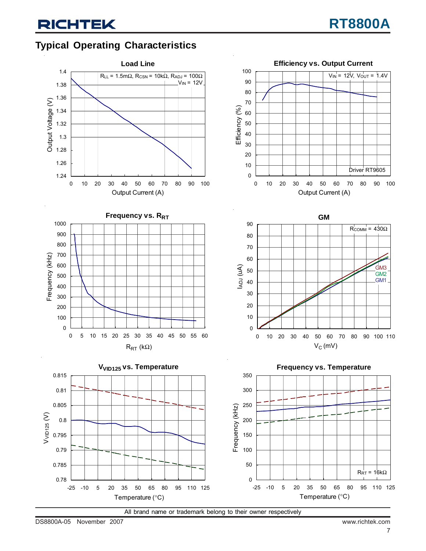$V_{IN}$  = 12V,  $V_{OUT}$  = 1.4V

## **Typical Operating Characteristics**







**Frequency vs. Temperature**

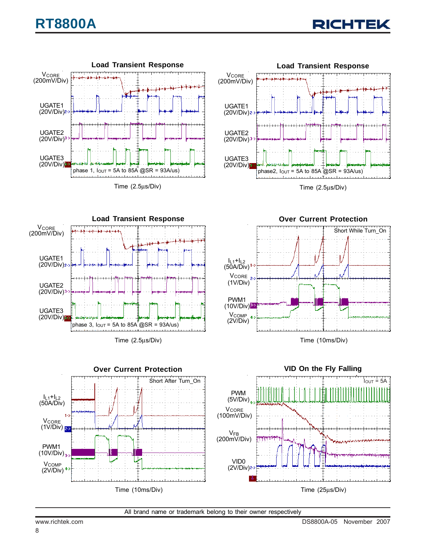



Time (2.5μs/Div)



Time (2.5μs/Div)



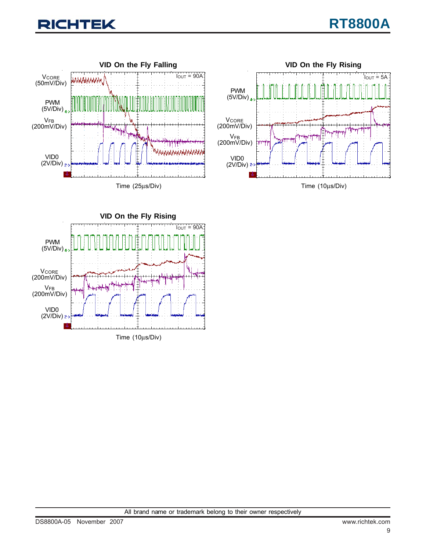## **CHTEK**





Time (10μs/Div)

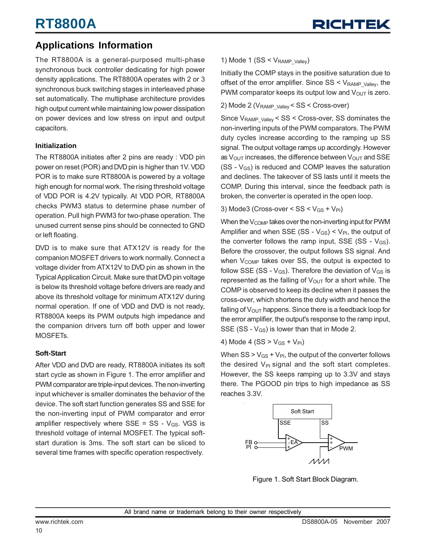## **Applications Information**

The RT8800A is a general-purposed multi-phase synchronous buck controller dedicating for high power density applications. The RT8800A operates with 2 or 3 synchronous buck switching stages in interleaved phase set automatically. The multiphase architecture provides high output current while maintaining low power dissipation on power devices and low stress on input and output capacitors.

### **Initialization**

The RT8800A initiates after 2 pins are ready : VDD pin power on reset (POR) and DVD pin is higher than 1V. VDD POR is to make sure RT8800A is powered by a voltage high enough for normal work. The rising threshold voltage of VDD POR is 4.2V typically. At VDD POR, RT8800A checks PWM3 status to determine phase number of operation. Pull high PWM3 for two-phase operation. The unused current sense pins should be connected to GND or left floating.

DVD is to make sure that ATX12V is ready for the companion MOSFET drivers to work normally. Connect a voltage divider from ATX12V to DVD pin as shown in the Typical Application Circuit. Make sure that DVD pin voltage is below its threshold voltage before drivers are ready and above its threshold voltage for minimum ATX12V during normal operation. If one of VDD and DVD is not ready, RT8800A keeps its PWM outputs high impedance and the companion drivers turn off both upper and lower MOSFETs.

### **Soft-Start**

After VDD and DVD are ready, RT8800A initiates its soft start cycle as shown in Figure 1. The error amplifier and PWM comparator are triple-input devices. The non-inverting input whichever is smaller dominates the behavior of the device. The soft start function generates SS and SSE for the non-inverting input of PWM comparator and error amplifier respectively where  $SSE = SS - V_{GS}$ . VGS is threshold voltage of internal MOSFET. The typical softstart duration is 3ms. The soft start can be sliced to several time frames with specific operation respectively.

### 1) Mode 1 (SS  $\leq$  V<sub>RAMP</sub> <sub>Valley</sub>)

Initially the COMP stays in the positive saturation due to offset of the error amplifier. Since  $SS < V_{RAMP}$  valley, the PWM comparator keeps its output low and  $V_{\text{OUT}}$  is zero.

### 2) Mode 2 (V<sub>RAMP\_Valley</sub> < SS < Cross-over)

Since V<sub>RAMP\_Valley</sub> < SS < Cross-over, SS dominates the non-inverting inputs of the PWM comparators. The PWM duty cycles increase according to the ramping up SS signal. The output voltage ramps up accordingly. However as  $V_{\text{OUT}}$  increases, the difference between  $V_{\text{OUT}}$  and SSE  $(SS - V_{GS})$  is reduced and COMP leaves the saturation and declines. The takeover of SS lasts until it meets the COMP. During this interval, since the feedback path is broken, the converter is operated in the open loop.

#### 3) Mode3 (Cross-over <  $SS < V_{GS} + V_{PI}$ )

When the  $V_{\text{COMP}}$  takes over the non-inverting input for PWM Amplifier and when SSE (SS -  $V_{GS}$ ) <  $V_{PI}$ , the output of the converter follows the ramp input, SSE (SS -  $V_{GS}$ ). Before the crossover, the output follows SS signal. And when  $V_{\text{COMP}}$  takes over SS, the output is expected to follow SSE (SS -  $V_{GS}$ ). Therefore the deviation of  $V_{GS}$  is represented as the falling of  $V_{\text{OUT}}$  for a short while. The COMP is observed to keep its decline when it passes the cross-over, which shortens the duty width and hence the falling of  $V_{\text{OUT}}$  happens. Since there is a feedback loop for the error amplifier, the output's response to the ramp input, SSE (SS -  $V_{GS}$ ) is lower than that in Mode 2.

4) Mode 4 (SS >  $V_{GS}$  +  $V_{PI}$ )

When  $SS > V_{GS} + V_{PI}$ , the output of the converter follows the desired  $V_{PI}$  signal and the soft start completes. However, the SS keeps ramping up to 3.3V and stays there. The PGOOD pin trips to high impedance as SS reaches 3.3V.



Figure 1. Soft Start Block Diagram.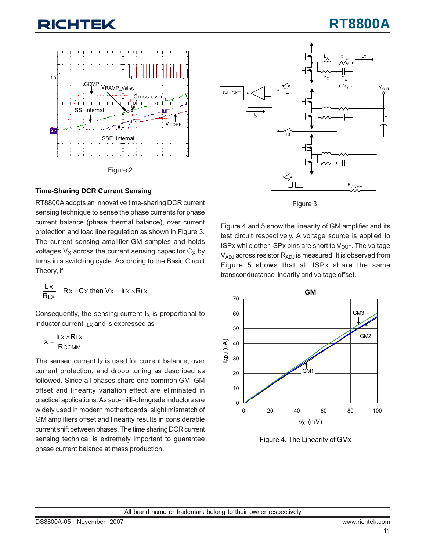# :HTEK





### **Time-Sharing DCR Current Sensing**

RT8800A adopts an innovative time-sharing DCR current sensing technique to sense the phase currents for phase current balance (phase thermal balance), over current protection and load line regulation as shown in Figure 3. The current sensing amplifier GM samples and holds voltages  $V_x$  across the current sensing capacitor  $C_x$  by turns in a switching cycle. According to the Basic Circuit Theory, if

$$
\frac{L_X}{R_{LX}} = R_X \times C_X \text{ then } V_X = I_{LX} \times R_{LX}
$$

Consequently, the sensing current  $I_X$  is proportional to inductor current  $I_{LX}$  and is expressed as

$$
I_X = \frac{I_{LX} \times R_{LX}}{R_{COMM}}
$$

The sensed current  $I_X$  is used for current balance, over current protection, and droop tuning as described as followed. Since all phases share one common GM, GM offset and linearity variation effect are eliminated in practical applications. As sub-milli-ohmgrade inductors are widely used in modern motherboards, slight mismatch of GM amplifiers offset and linearity results in considerable current shift between phases. The time sharing DCR current sensing technical is extremely important to guarantee phase current balance at mass production.





Figure 4 and 5 show the linearity of GM amplifier and its test circuit respectively. A voltage source is applied to ISPx while other ISPx pins are short to  $V_{\text{OUT}}$ . The voltage VADJ across resistor RADJ is measured. It is observed from Figure 5 shows that all ISPx share the same transconductance linearity and voltage offset.



Figure 4. The Linearity of GMx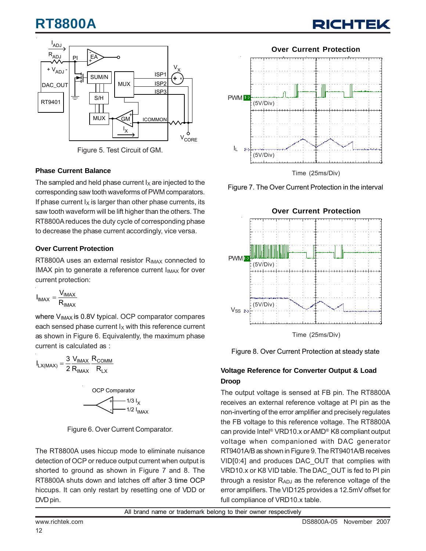# **RT8800A**

# RICHTE



Figure 5. Test Circuit of GM.

### **Phase Current Balance**

The sampled and held phase current  $I_X$  are injected to the corresponding saw tooth waveforms of PWM comparators. If phase current  $I_X$  is larger than other phase currents, its saw tooth waveform will be lift higher than the others. The RT8800A reduces the duty cycle of corresponding phase to decrease the phase current accordingly, vice versa.

### **Over Current Protection**

RT8800A uses an external resistor  $R_{IMAX}$  connected to IMAX pin to generate a reference current  $I_{IMAX}$  for over current protection:

$$
I_{IMAX} = \frac{V_{IMAX}}{R_{IMAX}}
$$

where V<sub>IMAX</sub> is 0.8V typical. OCP comparator compares each sensed phase current  $I_X$  with this reference current as shown in Figure 6. Equivalently, the maximum phase current is calculated as :

$$
I_{LX(MAX)} = \frac{3}{2} \frac{V_{IMAX}}{R_{IMAX}} \frac{R_{COMM}}{R_{LX}}
$$



Figure 6. Over Current Comparator.

The RT8800A uses hiccup mode to eliminate nuisance detection of OCP or reduce output current when output is shorted to ground as shown in Figure 7 and 8. The RT8800A shuts down and latches off after 3 time OCP hiccups. It can only restart by resetting one of VDD or DVD pin.



Figure 7. The Over Current Protection in the interval



Figure 8. Over Current Protection at steady state

### **Voltage Reference for Converter Output & Load Droop**

The output voltage is sensed at FB pin. The RT8800A receives an external reference voltage at PI pin as the non-inverting of the error amplifier and precisely regulates the FB voltage to this reference voltage. The RT8800A can provide Intel® VRD10.x or AMD® K8 compliant output voltage when companioned with DAC generator RT9401A/B as shown in Figure 9. The RT9401A/B receives VID[0:4] and produces DAC\_OUT that complies with VRD10.x or K8 VID table. The DAC\_OUT is fed to PI pin through a resistor  $R_{ADJ}$  as the reference voltage of the error amplifiers. The VID125 provides a 12.5mV offset for full compliance of VRD10.x table.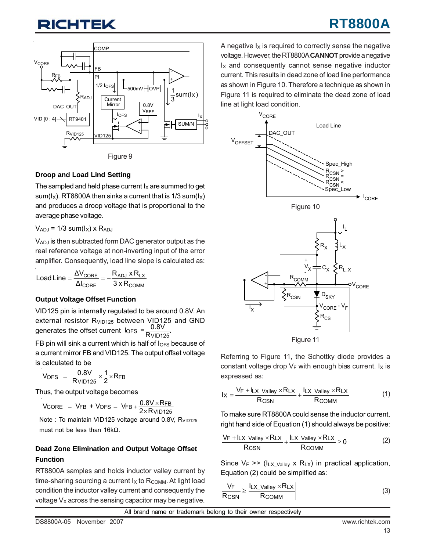# **ITEK**

# **RT8800A**



Figure 9

### **Droop and Load Lind Setting**

The sampled and held phase current  $I_X$  are summed to get sum( $I_x$ ). RT8800A then sinks a current that is 1/3 sum( $I_x$ ) and produces a droop voltage that is proportional to the average phase voltage.

### $V_{ADJ}$  = 1/3 sum( $I_X$ ) x R<sub>ADJ</sub>

VADJ is then subtracted form DAC generator output as the real reference voltage at non-inverting input of the error amplifier. Consequently, load line slope is calculated as:

$$
Load Line = \frac{\Delta V_{CORE}}{\Delta I_{CORE}} = -\frac{R_{ADJ} \times R_{LX}}{3 \times R_{COMM}}
$$

### **Output Voltage Offset Function**

VID125 pin is internally regulated to be around 0.8V. An external resistor R<sub>VID125</sub> between VID125 and GND generates the offset current  $I_{\text{OFS}} = \frac{0.8 \text{V}}{\text{R} \text{V} \cdot 10^{125}}$ 

FB pin will sink a current which is half of  $I_{OFS}$  because of a current mirror FB and VID125. The output offset voltage is calculated to be

VOFS = 
$$
\frac{0.8V}{R_{VID125}} \times \frac{1}{2} \times RFB
$$

Thus, the output voltage becomes

$$
V_{\text{CORE}} = V_{\text{FB}} + V_{\text{OFS}} = V_{\text{FB}} + \frac{0.8V \times \text{RFB}}{2 \times \text{RvlD125}}
$$

Note : To maintain VID125 voltage around 0.8V, R<sub>VID125</sub> must not be less than 16kΩ.

### **Dead Zone Elimination and Output Voltage Offset Function**

RT8800A samples and holds inductor valley current by time-sharing sourcing a current  $I_X$  to  $R_{\text{COMM}}$ . At light load condition the inductor valley current and consequently the voltage  $V<sub>X</sub>$  across the sensing capacitor may be negative.

A negative  $I_X$  is required to correctly sense the negative voltage. However, the RT8800A **CANNOT** provide a negative  $I_X$  and consequently cannot sense negative inductor current. This results in dead zone of load line performance as shown in Figure 10. Therefore a technique as shown in Figure 11 is required to eliminate the dead zone of load line at light load condition.



Referring to Figure 11, the Schottky diode provides a constant voltage drop  $V_F$  with enough bias current.  $I_X$  is expressed as:

$$
I_X = \frac{V_F + I_{LX\_Valley} \times R_{LX}}{R_{CSN}} + \frac{I_{LX\_Valley} \times R_{LX}}{R_{COMM}}
$$
(1)

To make sure RT8800A could sense the inductor current, right hand side of Equation (1) should always be positive:

$$
\frac{V_F + I_{LX\_Valuey} \times R_{LX}}{R_{CSN}} + \frac{I_{LX\_Valuey} \times R_{LX}}{R_{COMM}} \ge 0
$$
 (2)

Since  $V_F \gg (I_{LX\_Value} \times R_{LX})$  in practical application, Equation (2) could be simplified as:

$$
\frac{V_{F}}{R_{CSN}} \ge \left| \frac{I_{LX\_Valley} \times R_{LX}}{R_{COMM}} \right|
$$
 (3)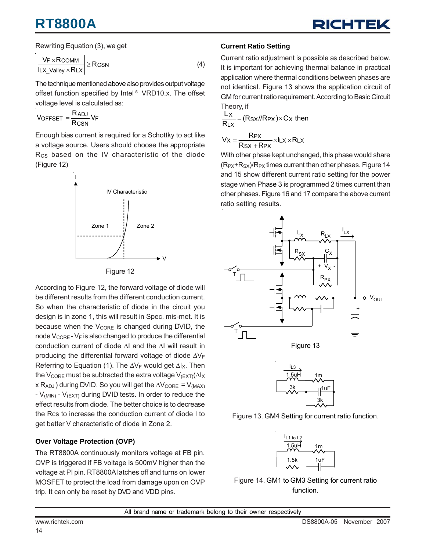# **RT8800A**



Rewriting Equation (3), we get

$$
\left| \frac{V_F \times R_{\text{COMM}}}{\left| I_{\text{LX\_Valley}} \times R_{\text{LX}} \right|} \right| \geq R_{\text{CSN}} \tag{4}
$$

The technique mentioned above also provides output voltage offset function specified by Intel ® VRD10.x. The offset voltage level is calculated as:

$$
V_{OFFSET} = \frac{R_{ADJ}}{R_{CSN}} V_F
$$

Enough bias current is required for a Schottky to act like a voltage source. Users should choose the appropriate R<sub>CS</sub> based on the IV characteristic of the diode (Figure 12)





According to Figure 12, the forward voltage of diode will be different results from the different conduction current. So when the characteristic of diode in the circuit you design is in zone 1, this will result in Spec. mis-met. It is because when the  $V_{\text{CORE}}$  is changed during DVID, the node  $V_{\text{CORE}}$  -  $V_F$  is also changed to produce the differential conduction current of diode ΔI and the ΔI will result in producing the differential forward voltage of diode  $\Delta V_F$ Referring to Equation (1). The  $\Delta V_F$  would get  $\Delta I_X$ . Then the V<sub>CORE</sub> must be subtracted the extra voltage V<sub>(EXT)</sub>( $\Delta$ l<sub>X</sub>  $x R_{ADJ}$ ) during DVID. So you will get the  $\Delta V_{CORE} = V_{(MAX)}$  $-V_{(MIN)} - V_{(EXT)}$  during DVID tests. In order to reduce the effect results from diode. The better choice is to decrease the Rcs to increase the conduction current of diode I to get better V characteristic of diode in Zone 2.

### **Over Voltage Protection (OVP)**

The RT8800A continuously monitors voltage at FB pin. OVP is triggered if FB voltage is 500mV higher than the voltage at PI pin. RT8800A latches off and turns on lower MOSFET to protect the load from damage upon on OVP trip. It can only be reset by DVD and VDD pins.

### **Current Ratio Setting**

Current ratio adjustment is possible as described below. It is important for achieving thermal balance in practical application where thermal conditions between phases are not identical. Figure 13 shows the application circuit of GM for current ratio requirement. According to Basic Circuit Theory, if

$$
\frac{Lx}{R_Lx} = (Rsx//Rpx) \times Cx
$$
 then

$$
V_X = \frac{RPX}{RSX + RPX} \times I_LX \times RLX
$$

With other phase kept unchanged, this phase would share  $(R_{PX}+R_{SX})/R_{PX}$  times current than other phases. Figure 14 and 15 show different current ratio setting for the power stage when Phase 3 is programmed 2 times current than other phases. Figure 16 and 17 compare the above current ratio setting results.





3k



Figure 14. GM1 to GM3 Setting for current ratio function.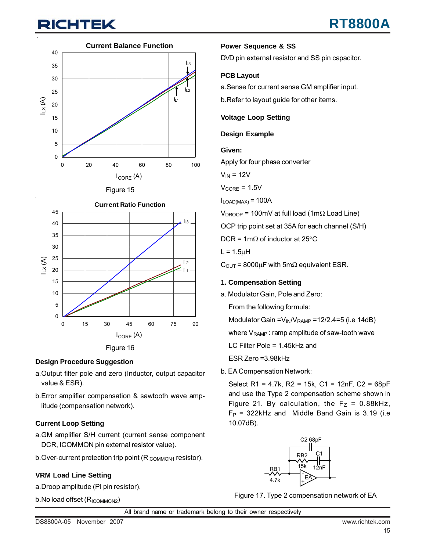# **CHTEK**





Figure 15



#### **Design Procedure Suggestion**

- a.Output filter pole and zero (Inductor, output capacitor value & ESR).
- b.Error amplifier compensation & sawtooth wave amplitude (compensation network).

### **Current Loop Setting**

- a.GM amplifier S/H current (current sense component DCR, ICOMMON pin external resistor value).
- b. Over-current protection trip point (RICOMMON1 resistor).

### **VRM Load Line Setting**

- a.Droop amplitude (PI pin resistor).
- b. No load offset (R<sub>ICOMMON2</sub>)

### **Power Sequence & SS**

DVD pin external resistor and SS pin capacitor.

### **PCB Layout**

a.Sense for current sense GM amplifier input.

b.Refer to layout guide for other items.

#### **Voltage Loop Setting**

#### **Design Example**

#### **Given:**

Apply for four phase converter

$$
V_{IN} = 12V
$$

 $V_{\text{CORE}} = 1.5V$ 

 $I_{LOAD(MAX)} = 100A$ 

 $V_{DROOP}$  = 100mV at full load (1m $\Omega$  Load Line)

OCP trip point set at 35A for each channel (S/H)

DCR = 1m $\Omega$  of inductor at 25°C

 $L = 1.5\mu H$ 

 $C_{\text{OUT}}$  = 8000µF with 5m $\Omega$  equivalent ESR.

#### **1. Compensation Setting**

a. Modulator Gain, Pole and Zero:

From the following formula:

Modulator Gain =  $V_{IN}/V_{RAMP}$  = 12/2.4=5 (i.e 14dB)

where  $V_{\text{RAMP}}$ : ramp amplitude of saw-tooth wave

LC Filter Pole = 1.45kHz and

ESR Zero =3.98kHz

b. EA Compensation Network:

Select R1 = 4.7k, R2 = 15k, C1 = 12nF, C2 = 68pF and use the Type 2 compensation scheme shown in Figure 21. By calculation, the  $F_Z = 0.88kHz$ ,  $F_P$  = 322kHz and Middle Band Gain is 3.19 (i.e 10.07dB).



Figure 17. Type 2 compensation network of EA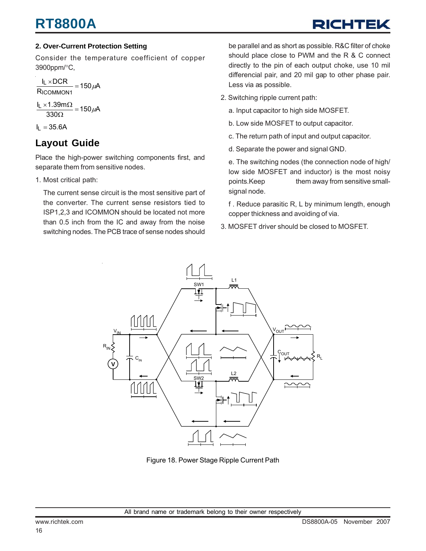# **RT8800A**

# RICHTE

### **2. Over-Current Protection Setting**

Consider the temperature coefficient of copper 3900ppm/°C,

 $\frac{I_L \times DCR}{I} = 150 \mu A$ R ICOMMON1

 $\frac{155.00 \text{ m/s}^2}{330 \Omega} = 150 \mu \text{A}$  $\frac{I_L \times 1.39 \text{m}\Omega}{330 \Omega} = 150 \mu$ 

 $I_L = 35.6A$ 

## **Layout Guide**

Place the high-power switching components first, and separate them from sensitive nodes.

1. Most critical path:

The current sense circuit is the most sensitive part of the converter. The current sense resistors tied to ISP1,2,3 and ICOMMON should be located not more than 0.5 inch from the IC and away from the noise switching nodes. The PCB trace of sense nodes should be parallel and as short as possible. R&C filter of choke should place close to PWM and the R & C connect directly to the pin of each output choke, use 10 mil differencial pair, and 20 mil gap to other phase pair. Less via as possible.

2. Switching ripple current path:

a. Input capacitor to high side MOSFET.

- b. Low side MOSFET to output capacitor.
- c. The return path of input and output capacitor.
- d. Separate the power and signal GND.

e. The switching nodes (the connection node of high/ low side MOSFET and inductor) is the most noisy points.Keep them away from sensitive smallsignal node.

f . Reduce parasitic R, L by minimum length, enough copper thickness and avoiding of via.

3. MOSFET driver should be closed to MOSFET.



Figure 18. Power Stage Ripple Current Path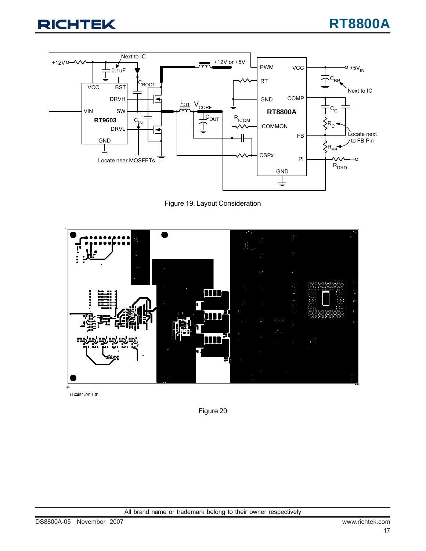

Figure 19. Layout Consideration



L1 COMPONENT SIDE

Figure 20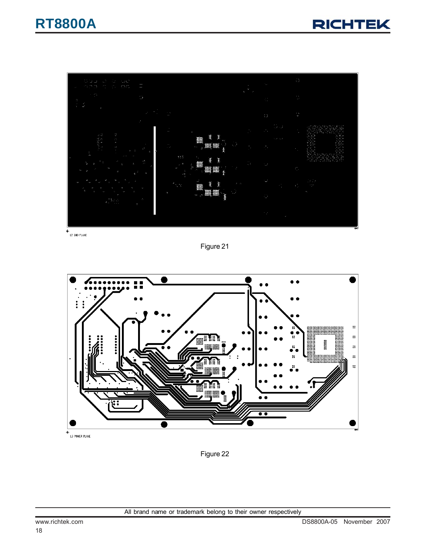



 $+$ <br>L2 GND PLANE

Figure 21



.<br>L3 POWER PLANE

Figure 22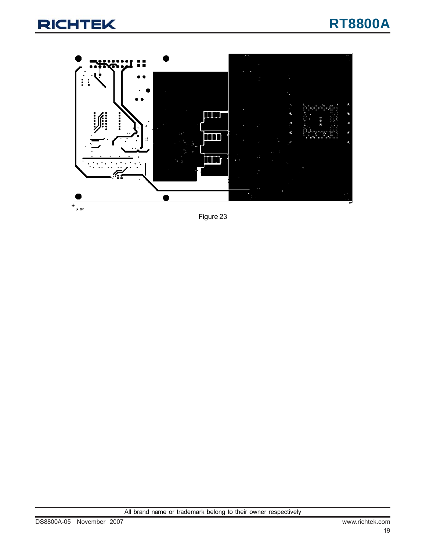





 $+$  14 BOT

Figure 23